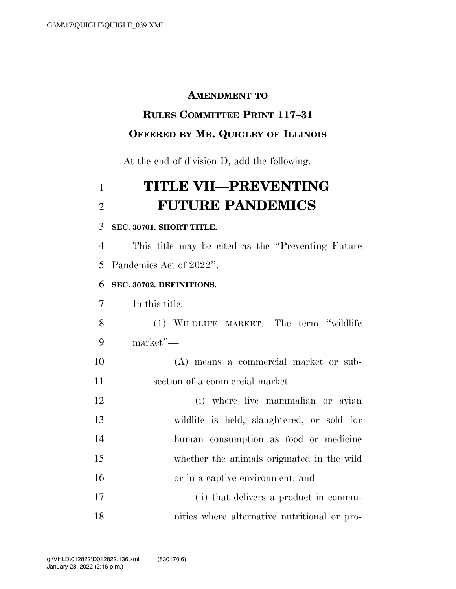#### **AMENDMENT TO**

# **RULES COMMITTEE PRINT 117–31**

### **OFFERED BY MR. QUIGLEY OF ILLINOIS**

At the end of division D, add the following:

## **TITLE VII—PREVENTING FUTURE PANDEMICS**

#### **SEC. 30701. SHORT TITLE.**

 This title may be cited as the ''Preventing Future Pandemics Act of 2022''.

#### **SEC. 30702. DEFINITIONS.**

In this title:

 (1) WILDLIFE MARKET.—The term ''wildlife market''—

 (A) means a commercial market or sub-section of a commercial market—

 (i) where live mammalian or avian wildlife is held, slaughtered, or sold for human consumption as food or medicine whether the animals originated in the wild or in a captive environment; and 17 (ii) that delivers a product in commu-

nities where alternative nutritional or pro-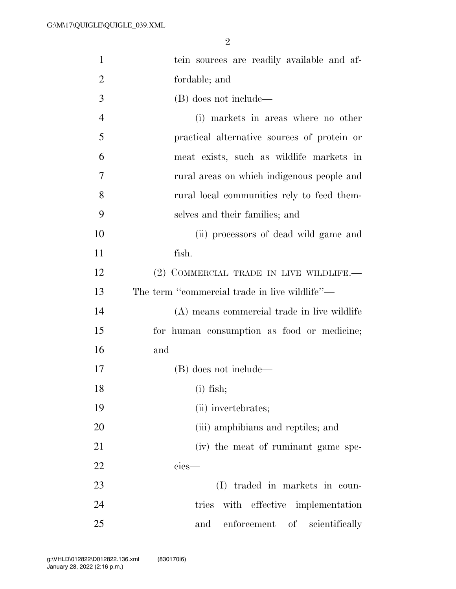| $\mathbf{1}$   | tein sources are readily available and af-    |
|----------------|-----------------------------------------------|
| $\overline{2}$ | fordable; and                                 |
| 3              | (B) does not include—                         |
| $\overline{4}$ | (i) markets in areas where no other           |
| 5              | practical alternative sources of protein or   |
| 6              | meat exists, such as wildlife markets in      |
| 7              | rural areas on which indigenous people and    |
| 8              | rural local communities rely to feed them-    |
| 9              | selves and their families; and                |
| 10             | (ii) processors of dead wild game and         |
| 11             | fish.                                         |
| 12             | (2) COMMERCIAL TRADE IN LIVE WILDLIFE.—       |
| 13             | The term "commercial trade in live wildlife"— |
| 14             | (A) means commercial trade in live wildlife   |
| 15             | for human consumption as food or medicine;    |
| 16             | and                                           |
| 17             | (B) does not include—                         |
| 18             | $(i)$ fish;                                   |
| 19             | (ii) invertebrates;                           |
| 20             | (iii) amphibians and reptiles; and            |
| 21             | (iv) the meat of ruminant game spe-           |
| 22             | $cies$ —                                      |
| 23             | traded in markets in coun-<br>(I)             |
| 24             | tries with effective implementation           |
| 25             | enforcement of scientifically<br>and          |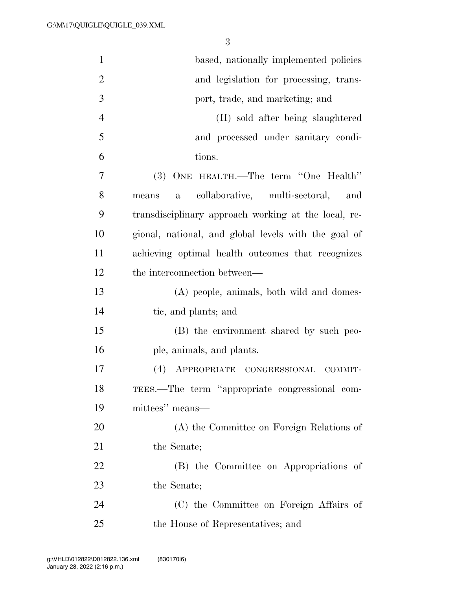| $\mathbf{1}$   | based, nationally implemented policies                         |
|----------------|----------------------------------------------------------------|
| $\overline{2}$ | and legislation for processing, trans-                         |
| 3              | port, trade, and marketing; and                                |
| $\overline{4}$ | (II) sold after being slaughtered                              |
| 5              | and processed under sanitary condi-                            |
| 6              | tions.                                                         |
| 7              | (3) ONE HEALTH.—The term "One Health"                          |
| 8              | collaborative, multi-sectoral,<br>and<br>$\mathbf{a}$<br>means |
| 9              | transdisciplinary approach working at the local, re-           |
| 10             | gional, national, and global levels with the goal of           |
| 11             | achieving optimal health outcomes that recognizes              |
| 12             | the interconnection between—                                   |
| 13             | (A) people, animals, both wild and domes-                      |
| 14             | tic, and plants; and                                           |
| 15             | (B) the environment shared by such peo-                        |
| 16             | ple, animals, and plants.                                      |
| 17             | (4) APPROPRIATE CONGRESSIONAL<br>COMMIT-                       |
| 18             | TEES.—The term "appropriate congressional com-                 |
| 19             | mittees" means—                                                |
| 20             | (A) the Committee on Foreign Relations of                      |
| 21             | the Senate;                                                    |
| 22             | (B) the Committee on Appropriations of                         |
| 23             | the Senate;                                                    |
| 24             | (C) the Committee on Foreign Affairs of                        |
| 25             | the House of Representatives; and                              |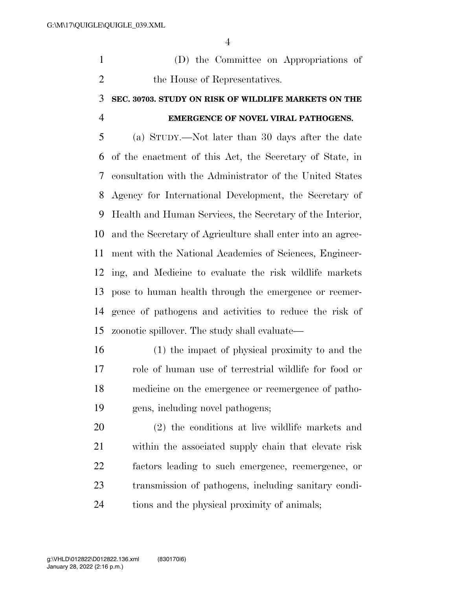(D) the Committee on Appropriations of 2 the House of Representatives.

### **SEC. 30703. STUDY ON RISK OF WILDLIFE MARKETS ON THE EMERGENCE OF NOVEL VIRAL PATHOGENS.**

 (a) STUDY.—Not later than 30 days after the date of the enactment of this Act, the Secretary of State, in consultation with the Administrator of the United States Agency for International Development, the Secretary of Health and Human Services, the Secretary of the Interior, and the Secretary of Agriculture shall enter into an agree- ment with the National Academies of Sciences, Engineer- ing, and Medicine to evaluate the risk wildlife markets pose to human health through the emergence or reemer- gence of pathogens and activities to reduce the risk of zoonotic spillover. The study shall evaluate—

 (1) the impact of physical proximity to and the role of human use of terrestrial wildlife for food or medicine on the emergence or reemergence of patho-gens, including novel pathogens;

 (2) the conditions at live wildlife markets and within the associated supply chain that elevate risk factors leading to such emergence, reemergence, or transmission of pathogens, including sanitary condi-tions and the physical proximity of animals;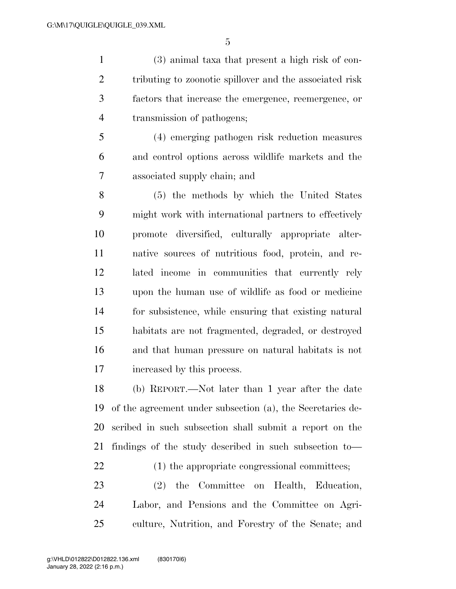(3) animal taxa that present a high risk of con- tributing to zoonotic spillover and the associated risk factors that increase the emergence, reemergence, or transmission of pathogens;

 (4) emerging pathogen risk reduction measures and control options across wildlife markets and the associated supply chain; and

 (5) the methods by which the United States might work with international partners to effectively promote diversified, culturally appropriate alter- native sources of nutritious food, protein, and re- lated income in communities that currently rely upon the human use of wildlife as food or medicine for subsistence, while ensuring that existing natural habitats are not fragmented, degraded, or destroyed and that human pressure on natural habitats is not increased by this process.

 (b) REPORT.—Not later than 1 year after the date of the agreement under subsection (a), the Secretaries de- scribed in such subsection shall submit a report on the findings of the study described in such subsection to—

22 (1) the appropriate congressional committees;

 (2) the Committee on Health, Education, Labor, and Pensions and the Committee on Agri-culture, Nutrition, and Forestry of the Senate; and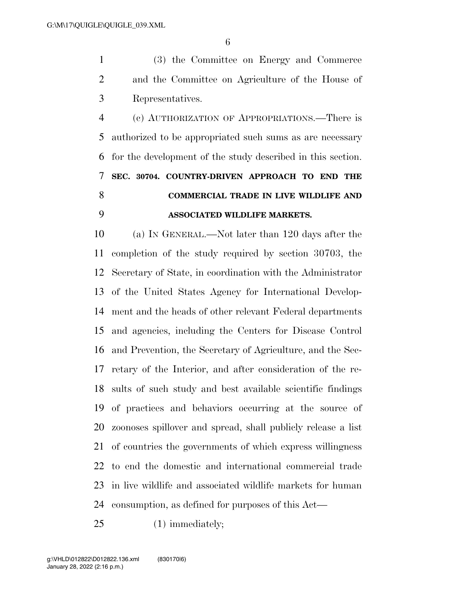(3) the Committee on Energy and Commerce and the Committee on Agriculture of the House of Representatives.

 (c) AUTHORIZATION OF APPROPRIATIONS.—There is authorized to be appropriated such sums as are necessary for the development of the study described in this section. **SEC. 30704. COUNTRY-DRIVEN APPROACH TO END THE COMMERCIAL TRADE IN LIVE WILDLIFE AND ASSOCIATED WILDLIFE MARKETS.** 

 (a) IN GENERAL.—Not later than 120 days after the completion of the study required by section 30703, the Secretary of State, in coordination with the Administrator of the United States Agency for International Develop- ment and the heads of other relevant Federal departments and agencies, including the Centers for Disease Control and Prevention, the Secretary of Agriculture, and the Sec- retary of the Interior, and after consideration of the re- sults of such study and best available scientific findings of practices and behaviors occurring at the source of zoonoses spillover and spread, shall publicly release a list of countries the governments of which express willingness to end the domestic and international commercial trade in live wildlife and associated wildlife markets for human consumption, as defined for purposes of this Act—

25 (1) immediately;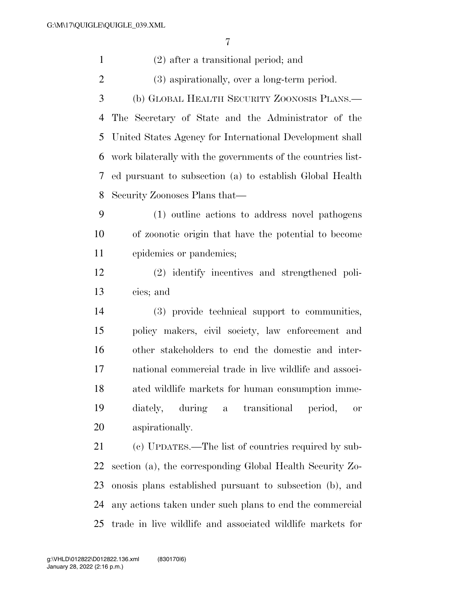| $\mathbf{1}$   | $(2)$ after a transitional period; and                       |
|----------------|--------------------------------------------------------------|
| $\overline{2}$ | (3) aspirationally, over a long-term period.                 |
| 3              | (b) GLOBAL HEALTH SECURITY ZOONOSIS PLANS.—                  |
| 4              | The Secretary of State and the Administrator of the          |
| 5              | United States Agency for International Development shall     |
| 6              | work bilaterally with the governments of the countries list- |
| 7              | ed pursuant to subsection (a) to establish Global Health     |
| 8              | Security Zoonoses Plans that—                                |
| 9              | (1) outline actions to address novel pathogens               |
| 10             | of zoonotic origin that have the potential to become         |
| 11             | epidemics or pandemics;                                      |
| 12             | (2) identify incentives and strengthened poli-               |
| 13             | cies; and                                                    |
| 14             | (3) provide technical support to communities,                |
| 15             | policy makers, civil society, law enforcement and            |
| 16             | other stakeholders to end the domestic and inter-            |
| 17             | national commercial trade in live wildlife and associ-       |
| 18             | ated wildlife markets for human consumption imme-            |
| 19             | diately, during a<br>transitional<br>period,<br>or           |
| 20             | aspirationally.                                              |
| 21             | (c) UPDATES.—The list of countries required by sub-          |
| 22             | section (a), the corresponding Global Health Security Zo-    |
| 23             | onosis plans established pursuant to subsection (b), and     |
| 24             | any actions taken under such plans to end the commercial     |
| 25             | trade in live wildlife and associated wildlife markets for   |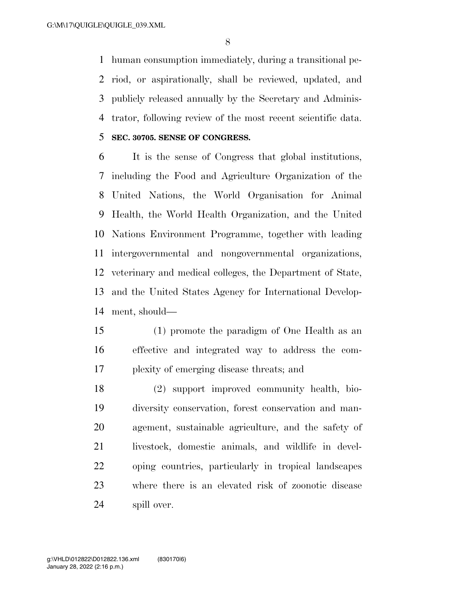human consumption immediately, during a transitional pe- riod, or aspirationally, shall be reviewed, updated, and publicly released annually by the Secretary and Adminis-trator, following review of the most recent scientific data.

**SEC. 30705. SENSE OF CONGRESS.** 

 It is the sense of Congress that global institutions, including the Food and Agriculture Organization of the United Nations, the World Organisation for Animal Health, the World Health Organization, and the United Nations Environment Programme, together with leading intergovernmental and nongovernmental organizations, veterinary and medical colleges, the Department of State, and the United States Agency for International Develop-ment, should—

 (1) promote the paradigm of One Health as an effective and integrated way to address the com-plexity of emerging disease threats; and

 (2) support improved community health, bio- diversity conservation, forest conservation and man- agement, sustainable agriculture, and the safety of livestock, domestic animals, and wildlife in devel- oping countries, particularly in tropical landscapes where there is an elevated risk of zoonotic disease spill over.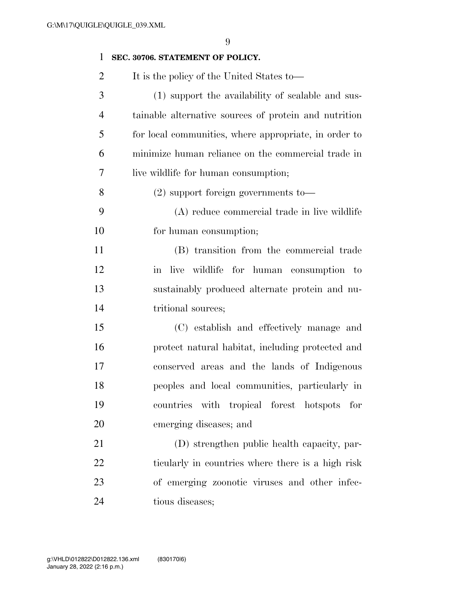| $\mathbf{1}$   | SEC. 30706. STATEMENT OF POLICY.                      |
|----------------|-------------------------------------------------------|
| $\overline{2}$ | It is the policy of the United States to—             |
| 3              | (1) support the availability of scalable and sus-     |
| $\overline{4}$ | tainable alternative sources of protein and nutrition |
| 5              | for local communities, where appropriate, in order to |
| 6              | minimize human reliance on the commercial trade in    |
| 7              | live wildlife for human consumption;                  |
| 8              | $(2)$ support foreign governments to                  |
| 9              | (A) reduce commercial trade in live wildlife          |
| 10             | for human consumption;                                |
| 11             | (B) transition from the commercial trade              |
| 12             | in live wildlife for human consumption to             |
| 13             | sustainably produced alternate protein and nu-        |
| 14             | tritional sources;                                    |
| 15             | (C) establish and effectively manage and              |
| 16             | protect natural habitat, including protected and      |
| 17             | conserved areas and the lands of Indigenous           |
| 18             | peoples and local communities, particularly in        |
| 19             | countries with tropical forest hotspots for           |
| 20             | emerging diseases; and                                |
| 21             | (D) strengthen public health capacity, par-           |
| 22             | ticularly in countries where there is a high risk     |
| 23             | of emerging zoonotic viruses and other infec-         |
| 24             | tious diseases;                                       |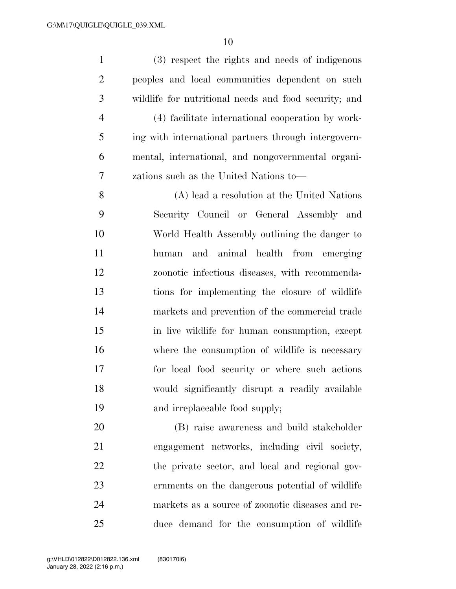(3) respect the rights and needs of indigenous peoples and local communities dependent on such wildlife for nutritional needs and food security; and (4) facilitate international cooperation by work- ing with international partners through intergovern- mental, international, and nongovernmental organi- zations such as the United Nations to— (A) lead a resolution at the United Nations Security Council or General Assembly and World Health Assembly outlining the danger to

 human and animal health from emerging zoonotic infectious diseases, with recommenda- tions for implementing the closure of wildlife markets and prevention of the commercial trade in live wildlife for human consumption, except where the consumption of wildlife is necessary for local food security or where such actions would significantly disrupt a readily available and irreplaceable food supply;

 (B) raise awareness and build stakeholder engagement networks, including civil society, the private sector, and local and regional gov- ernments on the dangerous potential of wildlife markets as a source of zoonotic diseases and re-duce demand for the consumption of wildlife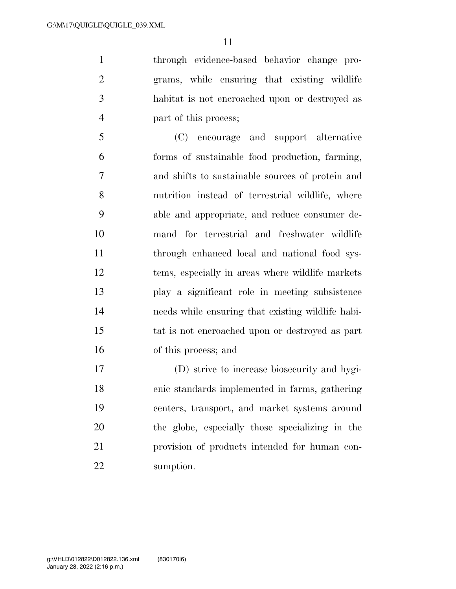through evidence-based behavior change pro- grams, while ensuring that existing wildlife habitat is not encroached upon or destroyed as part of this process;

 (C) encourage and support alternative forms of sustainable food production, farming, and shifts to sustainable sources of protein and nutrition instead of terrestrial wildlife, where able and appropriate, and reduce consumer de- mand for terrestrial and freshwater wildlife through enhanced local and national food sys- tems, especially in areas where wildlife markets play a significant role in meeting subsistence needs while ensuring that existing wildlife habi- tat is not encroached upon or destroyed as part of this process; and

 (D) strive to increase biosecurity and hygi- enic standards implemented in farms, gathering centers, transport, and market systems around the globe, especially those specializing in the provision of products intended for human con-sumption.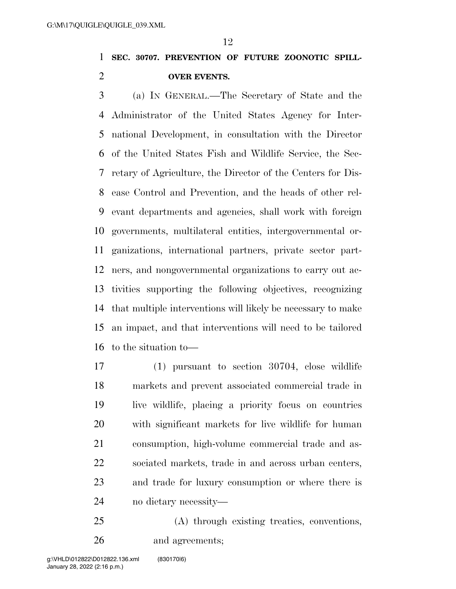**SEC. 30707. PREVENTION OF FUTURE ZOONOTIC SPILL-OVER EVENTS.** 

 (a) IN GENERAL.—The Secretary of State and the Administrator of the United States Agency for Inter- national Development, in consultation with the Director of the United States Fish and Wildlife Service, the Sec- retary of Agriculture, the Director of the Centers for Dis- ease Control and Prevention, and the heads of other rel- evant departments and agencies, shall work with foreign governments, multilateral entities, intergovernmental or- ganizations, international partners, private sector part- ners, and nongovernmental organizations to carry out ac- tivities supporting the following objectives, recognizing that multiple interventions will likely be necessary to make an impact, and that interventions will need to be tailored to the situation to—

 (1) pursuant to section 30704, close wildlife markets and prevent associated commercial trade in live wildlife, placing a priority focus on countries with significant markets for live wildlife for human consumption, high-volume commercial trade and as- sociated markets, trade in and across urban centers, and trade for luxury consumption or where there is no dietary necessity—

 (A) through existing treaties, conventions, and agreements;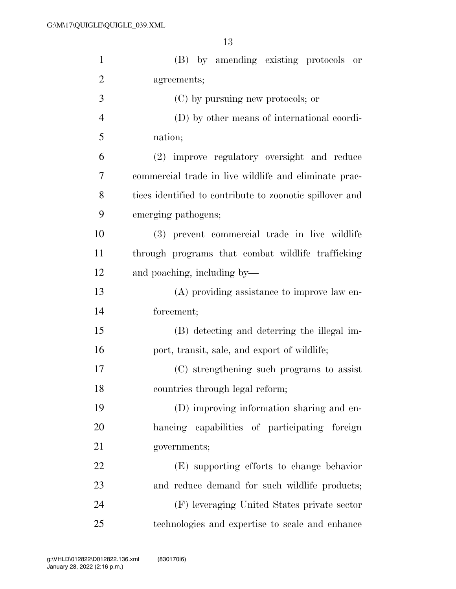| $\mathbf{1}$   | (B) by amending existing protocols or                    |
|----------------|----------------------------------------------------------|
| $\overline{2}$ | agreements;                                              |
| 3              | (C) by pursuing new protocols; or                        |
| $\overline{4}$ | (D) by other means of international coordi-              |
| 5              | nation;                                                  |
| 6              | (2) improve regulatory oversight and reduce              |
| 7              | commercial trade in live wildlife and eliminate prac-    |
| 8              | tices identified to contribute to zoonotic spillover and |
| 9              | emerging pathogens;                                      |
| 10             | (3) prevent commercial trade in live wildlife            |
| 11             | through programs that combat wildlife trafficking        |
| 12             | and poaching, including by—                              |
| 13             | (A) providing assistance to improve law en-              |
| 14             | forcement;                                               |
| 15             | (B) detecting and deterring the illegal im-              |
| 16             | port, transit, sale, and export of wildlife;             |
| 17             | (C) strengthening such programs to assist                |
| 18             | countries through legal reform;                          |
| 19             | (D) improving information sharing and en-                |
| 20             | hancing capabilities of participating foreign            |
| 21             | governments;                                             |
| 22             | (E) supporting efforts to change behavior                |
| 23             | and reduce demand for such wildlife products;            |
| 24             | (F) leveraging United States private sector              |
| 25             | technologies and expertise to scale and enhance          |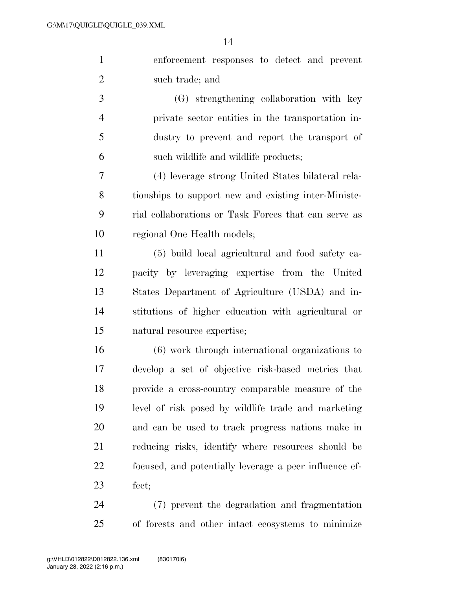enforcement responses to detect and prevent such trade; and

 (G) strengthening collaboration with key private sector entities in the transportation in- dustry to prevent and report the transport of such wildlife and wildlife products;

 (4) leverage strong United States bilateral rela- tionships to support new and existing inter-Ministe- rial collaborations or Task Forces that can serve as regional One Health models;

 (5) build local agricultural and food safety ca- pacity by leveraging expertise from the United States Department of Agriculture (USDA) and in- stitutions of higher education with agricultural or natural resource expertise;

 (6) work through international organizations to develop a set of objective risk-based metrics that provide a cross-country comparable measure of the level of risk posed by wildlife trade and marketing and can be used to track progress nations make in reducing risks, identify where resources should be focused, and potentially leverage a peer influence ef-fect;

 (7) prevent the degradation and fragmentation of forests and other intact ecosystems to minimize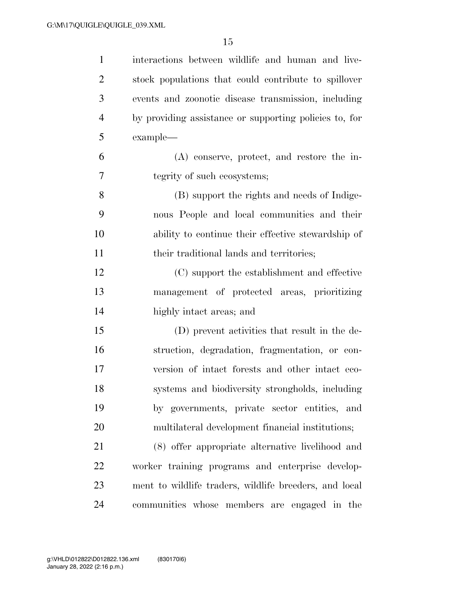| $\mathbf{1}$   | interactions between wildlife and human and live-      |
|----------------|--------------------------------------------------------|
| $\overline{2}$ | stock populations that could contribute to spillover   |
| 3              | events and zoonotic disease transmission, including    |
| $\overline{4}$ | by providing assistance or supporting policies to, for |
| 5              | example—                                               |
| 6              | $(A)$ conserve, protect, and restore the in-           |
| 7              | tegrity of such ecosystems;                            |
| 8              | (B) support the rights and needs of Indige-            |
| 9              | nous People and local communities and their            |
| 10             | ability to continue their effective stewardship of     |
| 11             | their traditional lands and territories;               |
| 12             | (C) support the establishment and effective            |
| 13             | management of protected areas, prioritizing            |
| 14             | highly intact areas; and                               |
| 15             | (D) prevent activities that result in the de-          |
| 16             | struction, degradation, fragmentation, or con-         |
| 17             | version of intact forests and other intact eco-        |
| 18             | systems and biodiversity strongholds, including        |
| 19             | by governments, private sector entities, and           |
| 20             | multilateral development financial institutions;       |
| 21             | (8) offer appropriate alternative livelihood and       |
| 22             | worker training programs and enterprise develop-       |
| 23             | ment to wildlife traders, wildlife breeders, and local |
| 24             | communities whose members are engaged in the           |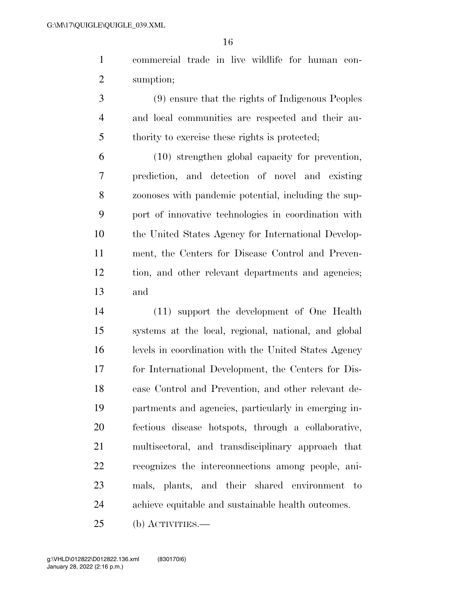commercial trade in live wildlife for human con-sumption;

 (9) ensure that the rights of Indigenous Peoples and local communities are respected and their au-thority to exercise these rights is protected;

 (10) strengthen global capacity for prevention, prediction, and detection of novel and existing zoonoses with pandemic potential, including the sup- port of innovative technologies in coordination with the United States Agency for International Develop- ment, the Centers for Disease Control and Preven- tion, and other relevant departments and agencies; and

 (11) support the development of One Health systems at the local, regional, national, and global levels in coordination with the United States Agency for International Development, the Centers for Dis- ease Control and Prevention, and other relevant de- partments and agencies, particularly in emerging in- fectious disease hotspots, through a collaborative, multisectoral, and transdisciplinary approach that recognizes the interconnections among people, ani- mals, plants, and their shared environment to achieve equitable and sustainable health outcomes.

(b) ACTIVITIES.—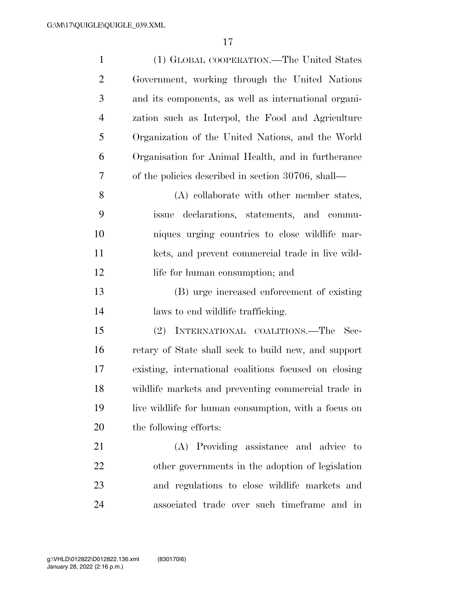| $\mathbf{1}$   | (1) GLOBAL COOPERATION.—The United States             |
|----------------|-------------------------------------------------------|
| $\overline{2}$ | Government, working through the United Nations        |
| 3              | and its components, as well as international organi-  |
| $\overline{4}$ | zation such as Interpol, the Food and Agriculture     |
| 5              | Organization of the United Nations, and the World     |
| 6              | Organisation for Animal Health, and in furtherance    |
| 7              | of the policies described in section 30706, shall—    |
| 8              | (A) collaborate with other member states,             |
| 9              | issue declarations, statements, and commu-            |
| 10             | niques urging countries to close wildlife mar-        |
| 11             | kets, and prevent commercial trade in live wild-      |
| 12             | life for human consumption; and                       |
| 13             | (B) urge increased enforcement of existing            |
| 14             | laws to end wildlife trafficking.                     |
| 15             | INTERNATIONAL COALITIONS.—The<br>(2)<br>Sec-          |
| 16             | retary of State shall seek to build new, and support  |
| 17             | existing, international coalitions focused on closing |
| 18             | wildlife markets and preventing commercial trade in   |
| 19             | live wildlife for human consumption, with a focus on  |
| 20             | the following efforts:                                |
| 21             | (A) Providing assistance and advice to                |
| 22             | other governments in the adoption of legislation      |
| 23             | and regulations to close wildlife markets and         |
| 24             | associated trade over such timeframe and in           |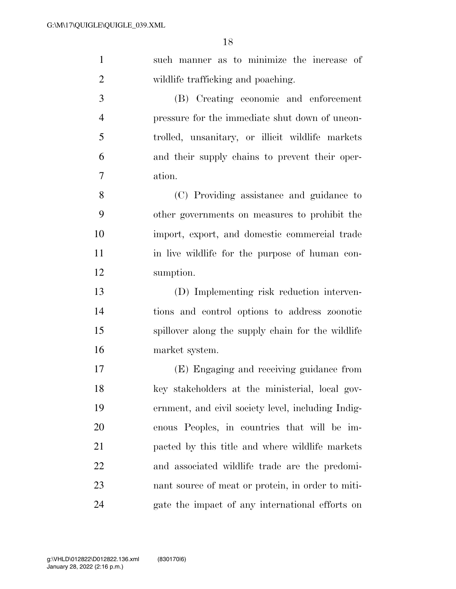| $\mathbf{1}$   | such manner as to minimize the increase of         |
|----------------|----------------------------------------------------|
| $\overline{2}$ | wildlife trafficking and poaching.                 |
| 3              | (B) Creating economic and enforcement              |
| $\overline{4}$ | pressure for the immediate shut down of uncon-     |
| 5              | trolled, unsanitary, or illicit wildlife markets   |
| 6              | and their supply chains to prevent their oper-     |
| 7              | ation.                                             |
| 8              | (C) Providing assistance and guidance to           |
| 9              | other governments on measures to prohibit the      |
| 10             | import, export, and domestic commercial trade      |
| 11             | in live wildlife for the purpose of human con-     |
| 12             | sumption.                                          |
| 13             | (D) Implementing risk reduction interven-          |
| 14             | tions and control options to address zoonotic      |
| 15             | spillover along the supply chain for the wildlife  |
| 16             | market system.                                     |
| 17             | (E) Engaging and receiving guidance from           |
| 18             | key stakeholders at the ministerial, local gov-    |
| 19             | ernment, and civil society level, including Indig- |
| 20             | enous Peoples, in countries that will be im-       |
| 21             | pacted by this title and where wildlife markets    |
| 22             | and associated wildlife trade are the predomi-     |
| 23             | nant source of meat or protein, in order to miti-  |
| 24             | gate the impact of any international efforts on    |
|                |                                                    |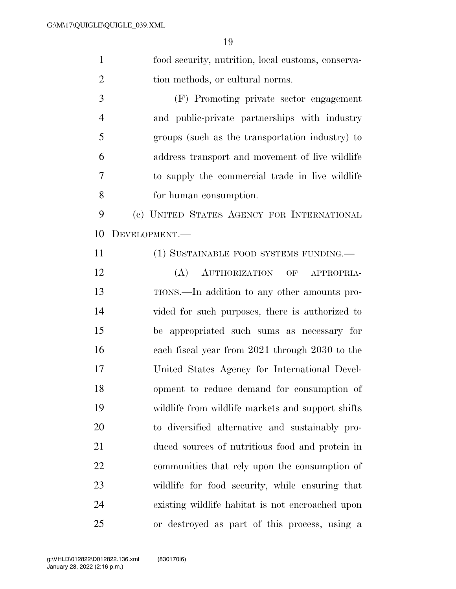food security, nutrition, local customs, conserva-2 tion methods, or cultural norms. (F) Promoting private sector engagement

 and public-private partnerships with industry groups (such as the transportation industry) to address transport and movement of live wildlife to supply the commercial trade in live wildlife for human consumption.

 (c) UNITED STATES AGENCY FOR INTERNATIONAL DEVELOPMENT.—

11 (1) SUSTAINABLE FOOD SYSTEMS FUNDING.—

 (A) AUTHORIZATION OF APPROPRIA- TIONS.—In addition to any other amounts pro- vided for such purposes, there is authorized to be appropriated such sums as necessary for each fiscal year from 2021 through 2030 to the United States Agency for International Devel- opment to reduce demand for consumption of wildlife from wildlife markets and support shifts to diversified alternative and sustainably pro- duced sources of nutritious food and protein in communities that rely upon the consumption of wildlife for food security, while ensuring that existing wildlife habitat is not encroached upon or destroyed as part of this process, using a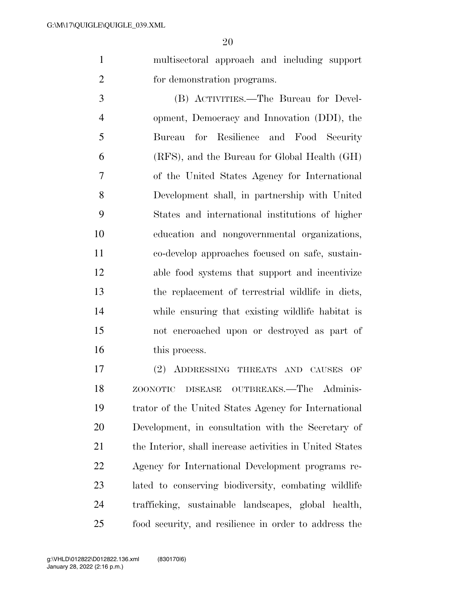multisectoral approach and including support for demonstration programs.

 (B) ACTIVITIES.—The Bureau for Devel- opment, Democracy and Innovation (DDI), the Bureau for Resilience and Food Security (RFS), and the Bureau for Global Health (GH) of the United States Agency for International Development shall, in partnership with United States and international institutions of higher education and nongovernmental organizations, co-develop approaches focused on safe, sustain- able food systems that support and incentivize the replacement of terrestrial wildlife in diets, while ensuring that existing wildlife habitat is not encroached upon or destroyed as part of 16 this process.

 (2) ADDRESSING THREATS AND CAUSES OF ZOONOTIC DISEASE OUTBREAKS.—The Adminis- trator of the United States Agency for International Development, in consultation with the Secretary of the Interior, shall increase activities in United States Agency for International Development programs re- lated to conserving biodiversity, combating wildlife trafficking, sustainable landscapes, global health, food security, and resilience in order to address the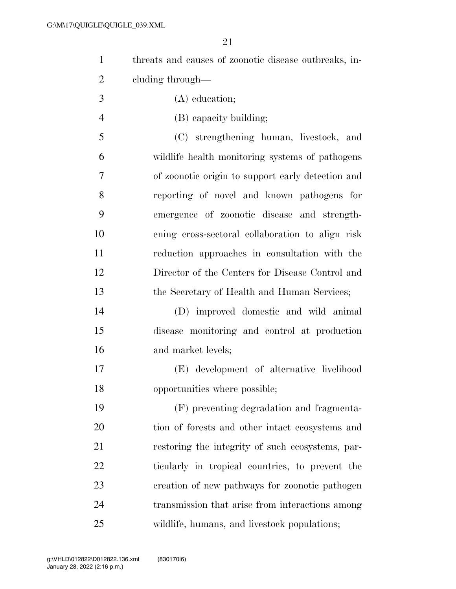| threats and causes of zoonotic disease outbreaks, in- |
|-------------------------------------------------------|
| eluding through—                                      |

- (A) education;
- (B) capacity building;

 (C) strengthening human, livestock, and wildlife health monitoring systems of pathogens of zoonotic origin to support early detection and reporting of novel and known pathogens for emergence of zoonotic disease and strength- ening cross-sectoral collaboration to align risk reduction approaches in consultation with the Director of the Centers for Disease Control and the Secretary of Health and Human Services;

 (D) improved domestic and wild animal disease monitoring and control at production and market levels;

 (E) development of alternative livelihood opportunities where possible;

 (F) preventing degradation and fragmenta- tion of forests and other intact ecosystems and restoring the integrity of such ecosystems, par- ticularly in tropical countries, to prevent the creation of new pathways for zoonotic pathogen transmission that arise from interactions among wildlife, humans, and livestock populations;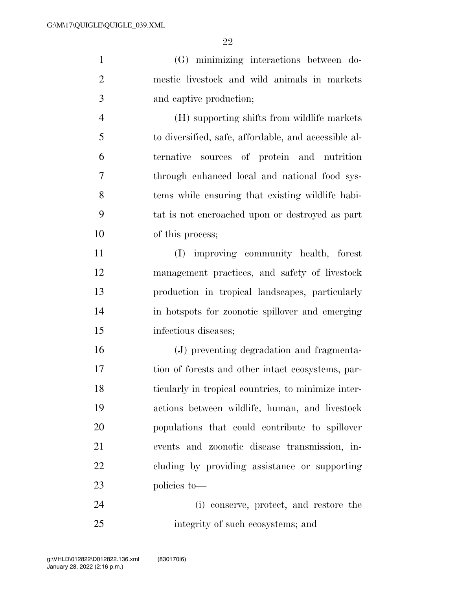(G) minimizing interactions between do- mestic livestock and wild animals in markets and captive production;

 (H) supporting shifts from wildlife markets to diversified, safe, affordable, and accessible al- ternative sources of protein and nutrition through enhanced local and national food sys- tems while ensuring that existing wildlife habi- tat is not encroached upon or destroyed as part of this process;

 (I) improving community health, forest management practices, and safety of livestock production in tropical landscapes, particularly in hotspots for zoonotic spillover and emerging infectious diseases;

 (J) preventing degradation and fragmenta- tion of forests and other intact ecosystems, par- ticularly in tropical countries, to minimize inter- actions between wildlife, human, and livestock populations that could contribute to spillover events and zoonotic disease transmission, in- cluding by providing assistance or supporting policies to—

 (i) conserve, protect, and restore the integrity of such ecosystems; and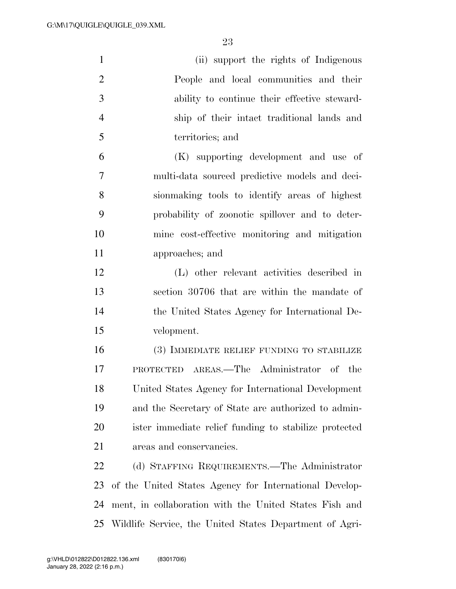| $\mathbf{1}$   | (ii) support the rights of Indigenous                      |
|----------------|------------------------------------------------------------|
| $\overline{2}$ | People and local communities and their                     |
| 3              | ability to continue their effective steward-               |
| $\overline{4}$ | ship of their intact traditional lands and                 |
| 5              | territories; and                                           |
| 6              | (K) supporting development and use of                      |
| 7              | multi-data sourced predictive models and deci-             |
| 8              | sion making tools to identify areas of highest             |
| 9              | probability of zoonotic spillover and to deter-            |
| 10             | mine cost-effective monitoring and mitigation              |
| 11             | approaches; and                                            |
| 12             | (L) other relevant activities described in                 |
| 13             | section 30706 that are within the mandate of               |
| 14             | the United States Agency for International De-             |
| 15             | velopment.                                                 |
| 16             | (3) IMMEDIATE RELIEF FUNDING TO STABILIZE                  |
| 17             | PROTECTED AREAS.—The Administrator of the                  |
| 18             | United States Agency for International Development         |
| 19             | and the Secretary of State are authorized to admin-        |
| 20             | ister immediate relief funding to stabilize protected      |
| 21             | areas and conservancies.                                   |
| 22             | (d) STAFFING REQUIREMENTS.—The Administrator               |
| 23             | of the United States Agency for International Develop-     |
| 24             | ment, in collaboration with the United States Fish and     |
|                | 25 Wildlife Service, the United States Department of Agri- |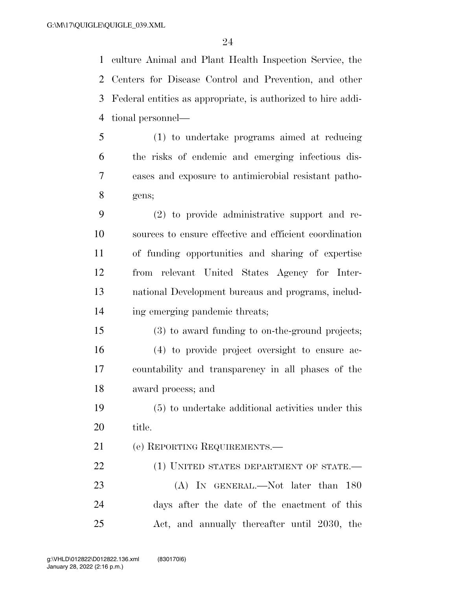culture Animal and Plant Health Inspection Service, the Centers for Disease Control and Prevention, and other Federal entities as appropriate, is authorized to hire addi-tional personnel—

- (1) to undertake programs aimed at reducing the risks of endemic and emerging infectious dis- eases and exposure to antimicrobial resistant patho-gens;
- (2) to provide administrative support and re- sources to ensure effective and efficient coordination of funding opportunities and sharing of expertise from relevant United States Agency for Inter- national Development bureaus and programs, includ-ing emerging pandemic threats;
- (3) to award funding to on-the-ground projects; (4) to provide project oversight to ensure ac- countability and transparency in all phases of the award process; and
- (5) to undertake additional activities under this title.
- (e) REPORTING REQUIREMENTS.—

22 (1) UNITED STATES DEPARTMENT OF STATE.

23 (A) In GENERAL.—Not later than 180 days after the date of the enactment of this Act, and annually thereafter until 2030, the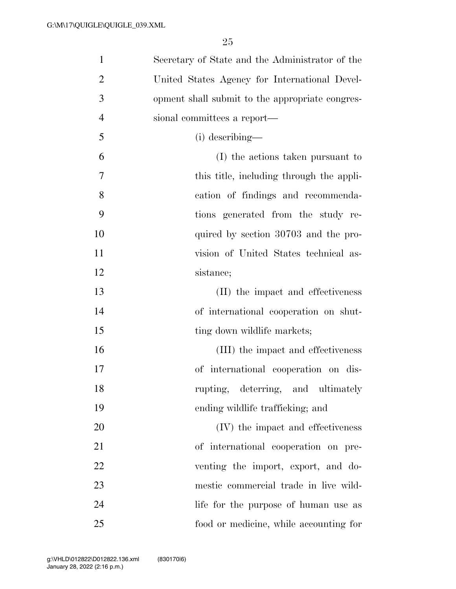| $\mathbf{1}$   | Secretary of State and the Administrator of the |
|----------------|-------------------------------------------------|
| $\overline{2}$ | United States Agency for International Devel-   |
| 3              | opment shall submit to the appropriate congres- |
| $\overline{4}$ | sional committees a report—                     |
| 5              | (i) describing—                                 |
| 6              | (I) the actions taken pursuant to               |
| 7              | this title, including through the appli-        |
| 8              | cation of findings and recommenda-              |
| 9              | tions generated from the study re-              |
| 10             | quired by section 30703 and the pro-            |
| 11             | vision of United States technical as-           |
| 12             | sistance;                                       |
| 13             | (II) the impact and effectiveness               |
| 14             | of international cooperation on shut-           |
| 15             | ting down wildlife markets;                     |
| 16             | (III) the impact and effectiveness              |
| 17             | of international cooperation on dis-            |
| 18             | rupting, deterring, and ultimately              |
| 19             | ending wildlife trafficking; and                |
| 20             | (IV) the impact and effectiveness               |
| 21             | of international cooperation on pre-            |
| 22             | venting the import, export, and do-             |
| 23             | mestic commercial trade in live wild-           |
| 24             | life for the purpose of human use as            |
| 25             | food or medicine, while accounting for          |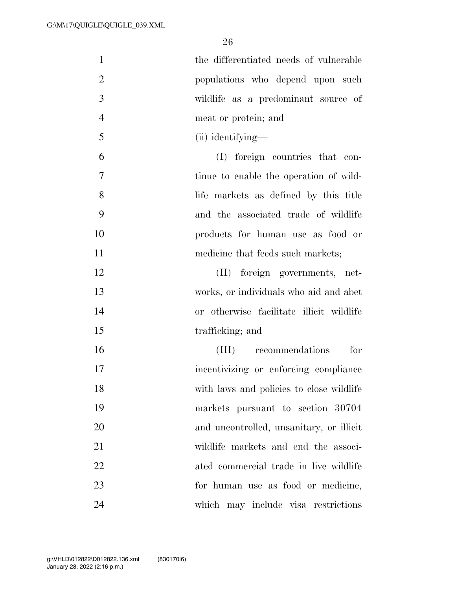| $\mathbf{1}$   | the differentiated needs of vulnerable   |
|----------------|------------------------------------------|
| $\overline{2}$ | populations who depend upon such         |
| 3              | wildlife as a predominant source of      |
| $\overline{4}$ | meat or protein; and                     |
| 5              | (ii) identifying—                        |
| 6              | (I) foreign countries that con-          |
| 7              | tinue to enable the operation of wild-   |
| 8              | life markets as defined by this title    |
| 9              | and the associated trade of wildlife     |
| 10             | products for human use as food or        |
| 11             | medicine that feeds such markets;        |
| 12             | (II) foreign governments, net-           |
| 13             | works, or individuals who aid and abet   |
| 14             | or otherwise facilitate illicit wildlife |
| 15             | trafficking; and                         |
| 16             | recommendations<br>for<br>(III)          |
| 17             | incentivizing or enforcing compliance    |
| 18             | with laws and policies to close wildlife |
| 19             | markets pursuant to section 30704        |
| 20             | and uncontrolled, unsanitary, or illicit |
| 21             | wildlife markets and end the associ-     |
| 22             | ated commercial trade in live wildlife   |
| 23             | for human use as food or medicine,       |
| 24             | which may include visa restrictions      |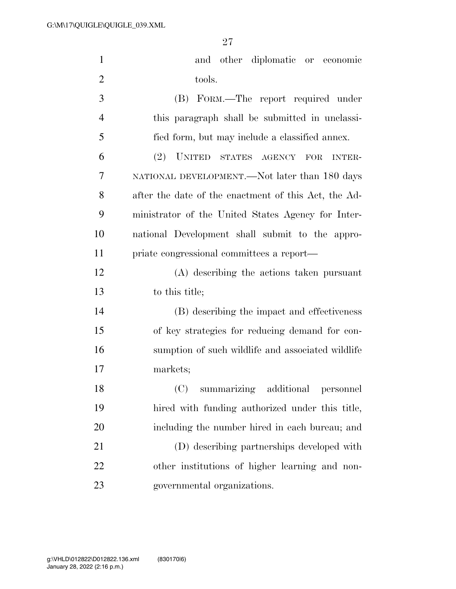| $\mathbf{1}$   | and other diplomatic or economic                                     |
|----------------|----------------------------------------------------------------------|
| $\overline{2}$ | tools.                                                               |
| 3              | (B) FORM.—The report required under                                  |
| $\overline{4}$ | this paragraph shall be submitted in unclassi-                       |
| 5              | fied form, but may include a classified annex.                       |
| 6              | (2)<br><b>UNITED</b><br>STATES AGENCY<br><b>FOR</b><br><b>INTER-</b> |
| 7              | NATIONAL DEVELOPMENT.—Not later than 180 days                        |
| 8              | after the date of the enactment of this Act, the Ad-                 |
| 9              | ministrator of the United States Agency for Inter-                   |
| 10             | national Development shall submit to the appro-                      |
| 11             | priate congressional committees a report—                            |
| 12             | (A) describing the actions taken pursuant                            |
| 13             | to this title;                                                       |
| 14             | (B) describing the impact and effectiveness                          |
| 15             | of key strategies for reducing demand for con-                       |
| 16             | sumption of such wildlife and associated wildlife                    |
| 17             | markets;                                                             |
| 18             | summarizing additional personnel<br>(C)                              |
| 19             | hired with funding authorized under this title,                      |
| 20             | including the number hired in each bureau; and                       |
| 21             | (D) describing partnerships developed with                           |
| 22             | other institutions of higher learning and non-                       |
| 23             | governmental organizations.                                          |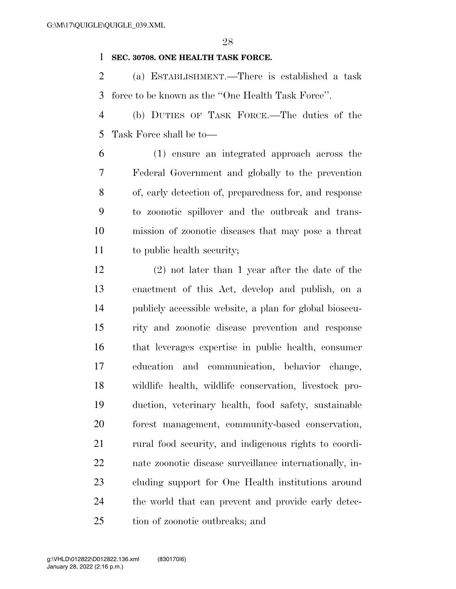#### **SEC. 30708. ONE HEALTH TASK FORCE.**

 (a) ESTABLISHMENT.—There is established a task force to be known as the ''One Health Task Force''.

 (b) DUTIES OF TASK FORCE.—The duties of the Task Force shall be to—

 (1) ensure an integrated approach across the Federal Government and globally to the prevention of, early detection of, preparedness for, and response to zoonotic spillover and the outbreak and trans- mission of zoonotic diseases that may pose a threat to public health security;

 (2) not later than 1 year after the date of the enactment of this Act, develop and publish, on a publicly accessible website, a plan for global biosecu- rity and zoonotic disease prevention and response that leverages expertise in public health, consumer education and communication, behavior change, wildlife health, wildlife conservation, livestock pro- duction, veterinary health, food safety, sustainable forest management, community-based conservation, rural food security, and indigenous rights to coordi- nate zoonotic disease surveillance internationally, in- cluding support for One Health institutions around the world that can prevent and provide early detec-tion of zoonotic outbreaks; and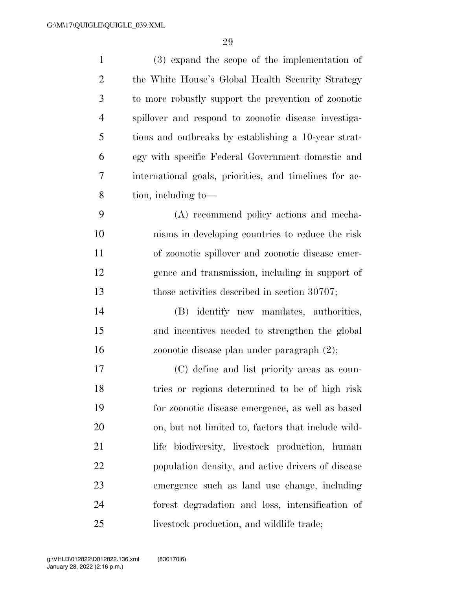| $\mathbf{1}$   | $(3)$ expand the scope of the implementation of        |
|----------------|--------------------------------------------------------|
| $\overline{2}$ | the White House's Global Health Security Strategy      |
| 3              | to more robustly support the prevention of zoonotic    |
| $\overline{4}$ | spillover and respond to zoonotic disease investiga-   |
| 5              | tions and outbreaks by establishing a 10-year strat-   |
| 6              | egy with specific Federal Government domestic and      |
| 7              | international goals, priorities, and timelines for ac- |
| 8              | tion, including to-                                    |
| 9              | (A) recommend policy actions and mecha-                |
| 10             | nisms in developing countries to reduce the risk       |
| 11             | of zoonotic spillover and zoonotic disease emer-       |
| 12             | gence and transmission, including in support of        |
| 13             | those activities described in section 30707;           |
| 14             | (B) identify new mandates, authorities,                |
| 15             | and incentives needed to strengthen the global         |
| 16             | zoonotic disease plan under paragraph (2);             |
| 17             | (C) define and list priority areas as coun-            |
| 18             | tries or regions determined to be of high risk         |
| 19             | for zoonotic disease emergence, as well as based       |
| 20             | on, but not limited to, factors that include wild-     |
| 21             | life biodiversity, livestock production, human         |
| 22             | population density, and active drivers of disease      |
| 23             | emergence such as land use change, including           |
| 24             | forest degradation and loss, intensification of        |
| 25             | livestock production, and wildlife trade;              |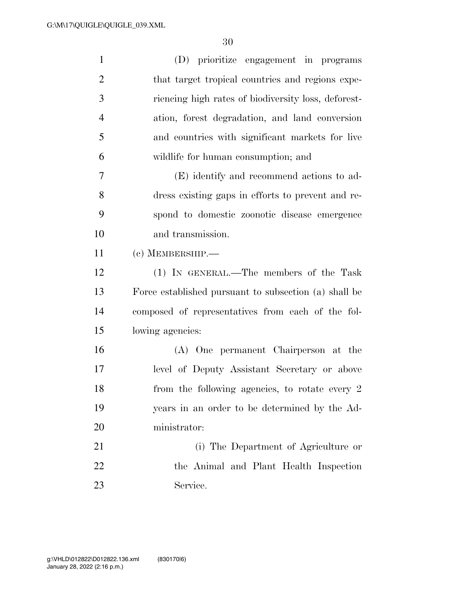| $\mathbf{1}$   | (D) prioritize engagement in programs                 |
|----------------|-------------------------------------------------------|
| $\overline{2}$ | that target tropical countries and regions expe-      |
| 3              | riencing high rates of biodiversity loss, deforest-   |
| $\overline{4}$ | ation, forest degradation, and land conversion        |
| 5              | and countries with significant markets for live       |
| 6              | wildlife for human consumption; and                   |
| 7              | (E) identify and recommend actions to ad-             |
| 8              | dress existing gaps in efforts to prevent and re-     |
| 9              | spond to domestic zoonotic disease emergence          |
| 10             | and transmission.                                     |
| 11             | (c) MEMBERSHIP.-                                      |
| 12             | (1) IN GENERAL.—The members of the Task               |
| 13             | Force established pursuant to subsection (a) shall be |
| 14             | composed of representatives from each of the fol-     |
| 15             | lowing agencies:                                      |
| 16             | (A) One permanent Chairperson at the                  |
| 17             | level of Deputy Assistant Secretary or above          |
| 18             | from the following agencies, to rotate every 2        |
| 19             | years in an order to be determined by the Ad-         |
| 20             | ministrator:                                          |
| 21             | (i) The Department of Agriculture or                  |
| 22             | the Animal and Plant Health Inspection                |
| 23             | Service.                                              |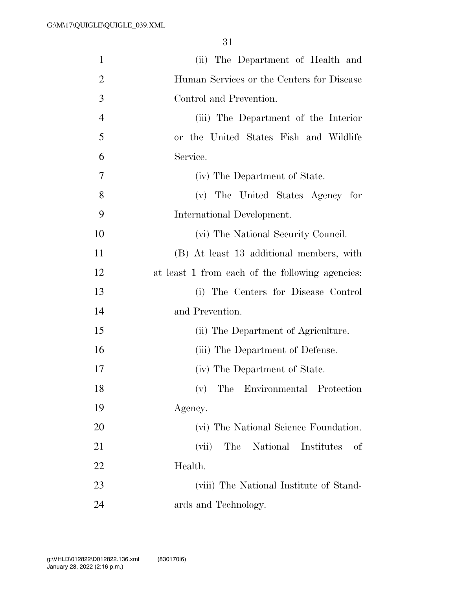| $\mathbf{1}$   | (ii) The Department of Health and               |
|----------------|-------------------------------------------------|
| $\overline{2}$ | Human Services or the Centers for Disease       |
| 3              | Control and Prevention.                         |
| $\overline{4}$ | (iii) The Department of the Interior            |
| 5              | or the United States Fish and Wildlife          |
| 6              | Service.                                        |
| 7              | (iv) The Department of State.                   |
| 8              | (v) The United States Agency for                |
| 9              | International Development.                      |
| 10             | (vi) The National Security Council.             |
| 11             | (B) At least 13 additional members, with        |
| 12             | at least 1 from each of the following agencies: |
| 13             | (i) The Centers for Disease Control             |
| 14             | and Prevention.                                 |
| 15             | (ii) The Department of Agriculture.             |
| 16             | (iii) The Department of Defense.                |
| 17             | (iv) The Department of State.                   |
| 18             | (v) The Environmental Protection                |
| 19             | Agency.                                         |
| 20             | (vi) The National Science Foundation.           |
| 21             | The National Institutes<br>(vii)<br>οf          |
| 22             | Health.                                         |
| 23             | (viii) The National Institute of Stand-         |
| 24             | ards and Technology.                            |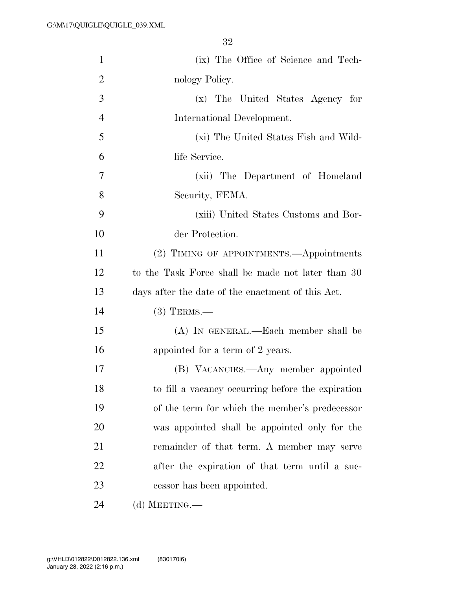| $\mathbf{1}$   | (ix) The Office of Science and Tech-              |
|----------------|---------------------------------------------------|
| $\overline{2}$ | nology Policy.                                    |
| 3              | (x) The United States Agency for                  |
| $\overline{4}$ | International Development.                        |
| 5              | (xi) The United States Fish and Wild-             |
| 6              | life Service.                                     |
| 7              | (xii) The Department of Homeland                  |
| 8              | Security, FEMA.                                   |
| 9              | (xiii) United States Customs and Bor-             |
| 10             | der Protection.                                   |
| 11             | (2) TIMING OF APPOINTMENTS.—Appointments          |
| 12             | to the Task Force shall be made not later than 30 |
| 13             | days after the date of the enactment of this Act. |
| 14             | $(3)$ TERMS.—                                     |
| 15             | (A) IN GENERAL.—Each member shall be              |
| 16             | appointed for a term of 2 years.                  |
| 17             | (B) VACANCIES.—Any member appointed               |
| 18             | to fill a vacancy occurring before the expiration |
| 19             | of the term for which the member's predecessor    |
| 20             | was appointed shall be appointed only for the     |
| 21             | remainder of that term. A member may serve        |
| 22             | after the expiration of that term until a suc-    |
| 23             | cessor has been appointed.                        |
| 24             | (d) MEETING.—                                     |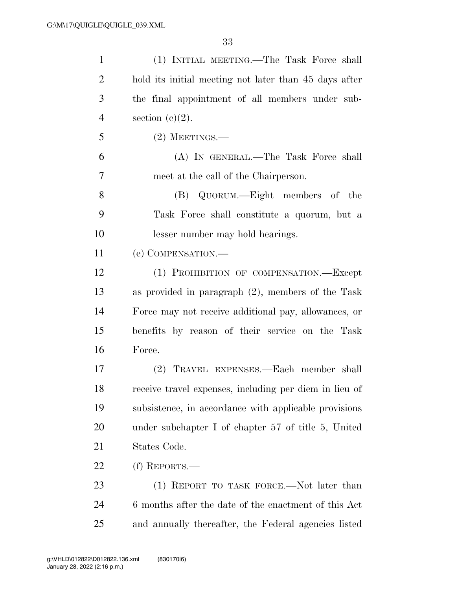| $\mathbf{1}$   | (1) INITIAL MEETING.—The Task Force shall              |
|----------------|--------------------------------------------------------|
| $\overline{2}$ | hold its initial meeting not later than 45 days after  |
| 3              | the final appointment of all members under sub-        |
| $\overline{4}$ | section $(c)(2)$ .                                     |
| 5              | $(2)$ MEETINGS.—                                       |
| 6              | (A) IN GENERAL.—The Task Force shall                   |
| 7              | meet at the call of the Chairperson.                   |
| 8              | (B) QUORUM.—Eight members of the                       |
| 9              | Task Force shall constitute a quorum, but a            |
| 10             | lesser number may hold hearings.                       |
| 11             | (e) COMPENSATION.-                                     |
| 12             | (1) PROHIBITION OF COMPENSATION.-Except                |
| 13             | as provided in paragraph $(2)$ , members of the Task   |
| 14             | Force may not receive additional pay, allowances, or   |
| 15             | benefits by reason of their service on the Task        |
| 16             | Force.                                                 |
| 17             | (2) TRAVEL EXPENSES.—Each member shall                 |
| 18             | receive travel expenses, including per diem in lieu of |
| 19             | subsistence, in accordance with applicable provisions  |
| 20             | under subchapter I of chapter 57 of title 5, United    |
| 21             | States Code.                                           |
| 22             | (f) REPORTS.—                                          |
| 23             | (1) REPORT TO TASK FORCE.—Not later than               |
| 24             | 6 months after the date of the enactment of this Act   |
| 25             | and annually thereafter, the Federal agencies listed   |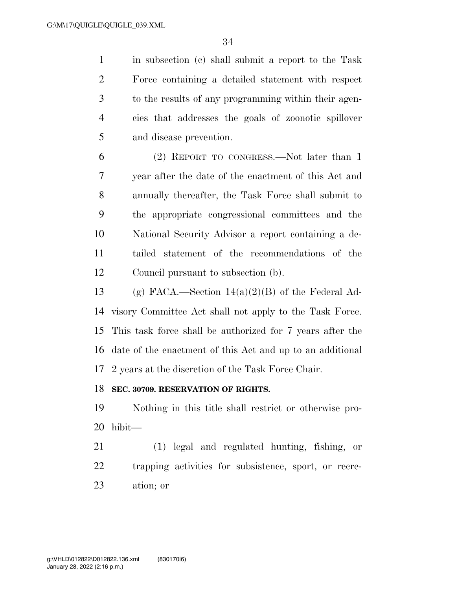in subsection (c) shall submit a report to the Task Force containing a detailed statement with respect to the results of any programming within their agen- cies that addresses the goals of zoonotic spillover and disease prevention.

 (2) REPORT TO CONGRESS.—Not later than 1 year after the date of the enactment of this Act and annually thereafter, the Task Force shall submit to the appropriate congressional committees and the National Security Advisor a report containing a de- tailed statement of the recommendations of the Council pursuant to subsection (b).

13 (g) FACA.—Section  $14(a)(2)(B)$  of the Federal Ad- visory Committee Act shall not apply to the Task Force. This task force shall be authorized for 7 years after the date of the enactment of this Act and up to an additional 2 years at the discretion of the Task Force Chair.

#### **SEC. 30709. RESERVATION OF RIGHTS.**

 Nothing in this title shall restrict or otherwise pro-hibit—

 (1) legal and regulated hunting, fishing, or trapping activities for subsistence, sport, or recre-ation; or